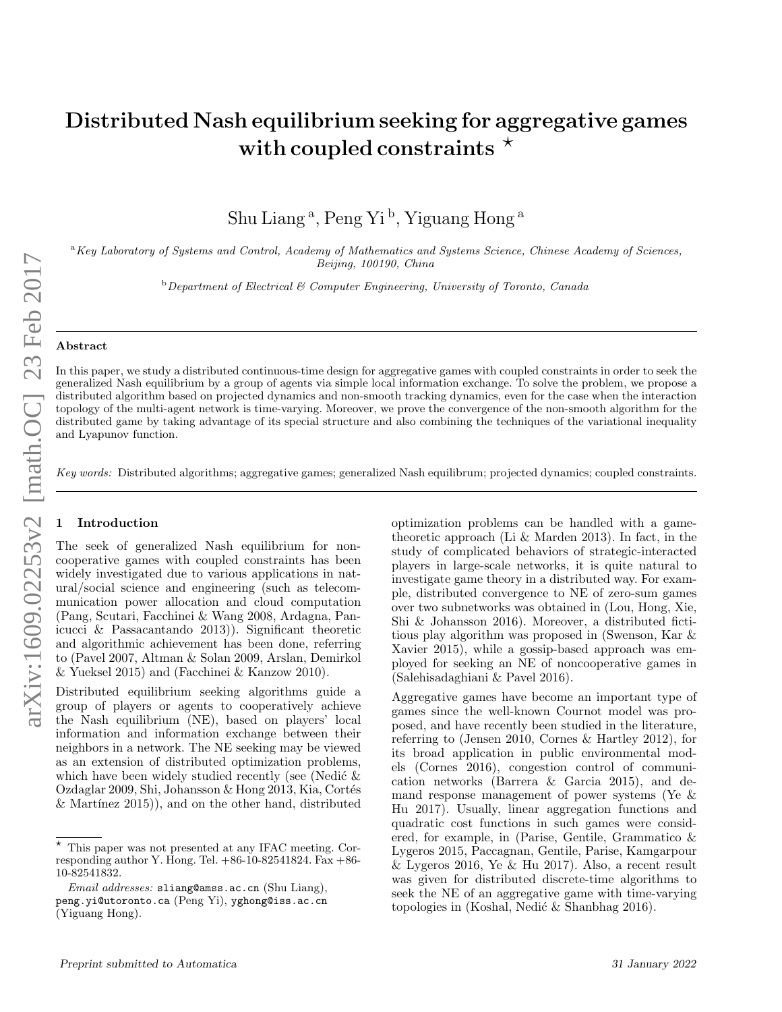# Distributed Nash equilibrium seeking for aggregative games with coupled constraints  $\star$

Shu Liang<sup>a</sup>, Peng Yi<sup>b</sup>, Yiguang Hong<sup>a</sup>

<sup>a</sup>Key Laboratory of Systems and Control, Academy of Mathematics and Systems Science, Chinese Academy of Sciences, Beijing, 100190, China

 $b$ Department of Electrical & Computer Engineering, University of Toronto, Canada

## Abstract

In this paper, we study a distributed continuous-time design for aggregative games with coupled constraints in order to seek the generalized Nash equilibrium by a group of agents via simple local information exchange. To solve the problem, we propose a distributed algorithm based on projected dynamics and non-smooth tracking dynamics, even for the case when the interaction topology of the multi-agent network is time-varying. Moreover, we prove the convergence of the non-smooth algorithm for the distributed game by taking advantage of its special structure and also combining the techniques of the variational inequality and Lyapunov function.

Key words: Distributed algorithms; aggregative games; generalized Nash equilibrum; projected dynamics; coupled constraints.

### **Introduction**

The seek of generalized Nash equilibrium for noncooperative games with coupled constraints has been widely investigated due to various applications in natural/social science and engineering (such as telecommunication power allocation and cloud computation (Pang, Scutari, Facchinei & Wang 2008, Ardagna, Panicucci & Passacantando 2013)). Significant theoretic and algorithmic achievement has been done, referring to (Pavel 2007, Altman & Solan 2009, Arslan, Demirkol & Yueksel 2015) and (Facchinei & Kanzow 2010).

Distributed equilibrium seeking algorithms guide a group of players or agents to cooperatively achieve the Nash equilibrium (NE), based on players' local information and information exchange between their neighbors in a network. The NE seeking may be viewed as an extension of distributed optimization problems, which have been widely studied recently (see (Nedic  $\&$ Ozdaglar 2009, Shi, Johansson & Hong 2013, Kia, Cortés  $&$  Martínez 2015)), and on the other hand, distributed optimization problems can be handled with a gametheoretic approach (Li & Marden 2013). In fact, in the study of complicated behaviors of strategic-interacted players in large-scale networks, it is quite natural to investigate game theory in a distributed way. For example, distributed convergence to NE of zero-sum games over two subnetworks was obtained in (Lou, Hong, Xie, Shi & Johansson 2016). Moreover, a distributed fictitious play algorithm was proposed in (Swenson, Kar & Xavier 2015), while a gossip-based approach was employed for seeking an NE of noncooperative games in (Salehisadaghiani & Pavel 2016).

Aggregative games have become an important type of games since the well-known Cournot model was proposed, and have recently been studied in the literature, referring to (Jensen 2010, Cornes & Hartley 2012), for its broad application in public environmental models (Cornes 2016), congestion control of communication networks (Barrera & Garcia 2015), and demand response management of power systems (Ye & Hu 2017). Usually, linear aggregation functions and quadratic cost functions in such games were considered, for example, in (Parise, Gentile, Grammatico & Lygeros 2015, Paccagnan, Gentile, Parise, Kamgarpour  $&$  Lygeros 2016, Ye  $&$  Hu 2017). Also, a recent result was given for distributed discrete-time algorithms to seek the NE of an aggregative game with time-varying topologies in (Koshal, Nedić  $\&$  Shanbhag 2016).

 $*$  This paper was not presented at any IFAC meeting. Corresponding author Y. Hong. Tel.  $+86-10-82541824$ . Fax  $+86-$ 10-82541832.

Email addresses: sliang@amss.ac.cn (Shu Liang), peng.yi@utoronto.ca (Peng Yi), yghong@iss.ac.cn (Yiguang Hong).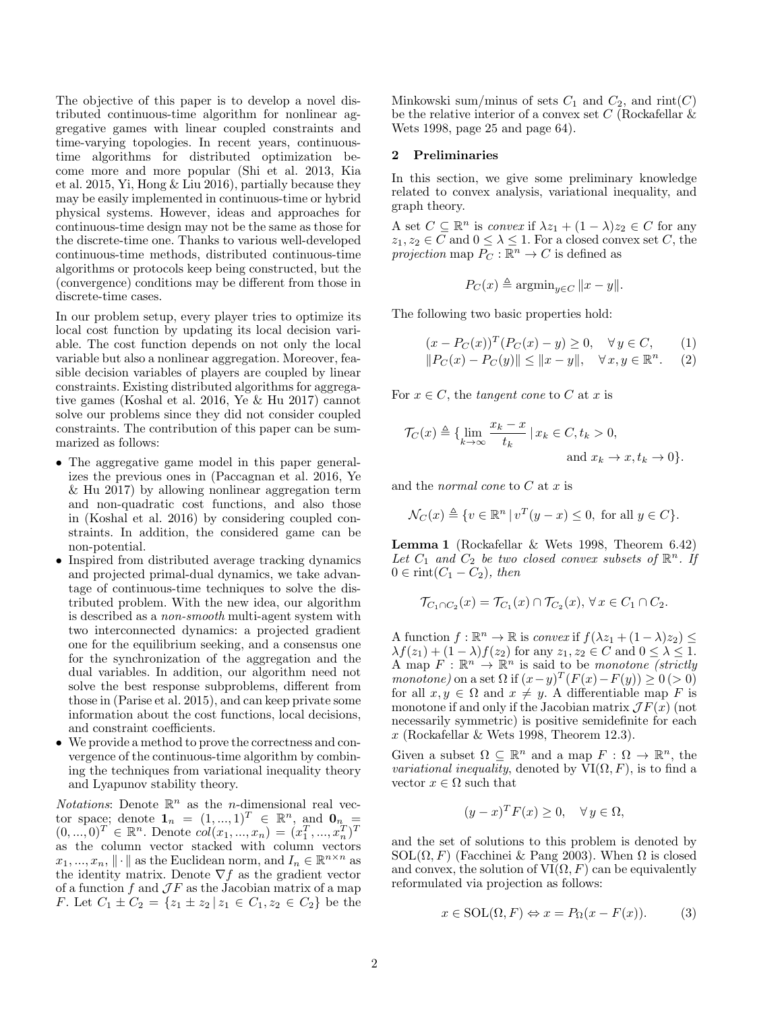The objective of this paper is to develop a novel distributed continuous-time algorithm for nonlinear aggregative games with linear coupled constraints and time-varying topologies. In recent years, continuoustime algorithms for distributed optimization become more and more popular (Shi et al. 2013, Kia et al. 2015, Yi, Hong & Liu 2016), partially because they may be easily implemented in continuous-time or hybrid physical systems. However, ideas and approaches for continuous-time design may not be the same as those for the discrete-time one. Thanks to various well-developed continuous-time methods, distributed continuous-time algorithms or protocols keep being constructed, but the (convergence) conditions may be different from those in discrete-time cases.

In our problem setup, every player tries to optimize its local cost function by updating its local decision variable. The cost function depends on not only the local variable but also a nonlinear aggregation. Moreover, feasible decision variables of players are coupled by linear constraints. Existing distributed algorithms for aggregative games (Koshal et al. 2016, Ye & Hu 2017) cannot solve our problems since they did not consider coupled constraints. The contribution of this paper can be summarized as follows:

- The aggregative game model in this paper generalizes the previous ones in (Paccagnan et al. 2016, Ye & Hu 2017) by allowing nonlinear aggregation term and non-quadratic cost functions, and also those in (Koshal et al. 2016) by considering coupled constraints. In addition, the considered game can be non-potential.
- Inspired from distributed average tracking dynamics and projected primal-dual dynamics, we take advantage of continuous-time techniques to solve the distributed problem. With the new idea, our algorithm is described as a non-smooth multi-agent system with two interconnected dynamics: a projected gradient one for the equilibrium seeking, and a consensus one for the synchronization of the aggregation and the dual variables. In addition, our algorithm need not solve the best response subproblems, different from those in (Parise et al. 2015), and can keep private some information about the cost functions, local decisions, and constraint coefficients.
- We provide a method to prove the correctness and convergence of the continuous-time algorithm by combining the techniques from variational inequality theory and Lyapunov stability theory.

Notations: Denote  $\mathbb{R}^n$  as the *n*-dimensional real vector space; denote  $\mathbf{1}_n = (1, ..., 1)^T \in \mathbb{R}^n$ , and  $\mathbf{0}_n =$  $(0, ..., 0)^T \in \mathbb{R}^n$ . Denote  $col(x_1, ..., x_n) = (x_1^T, ..., x_n^T)^T$ as the column vector stacked with column vectors  $x_1, ..., x_n, \| \cdot \|$  as the Euclidean norm, and  $I_n \in \mathbb{R}^{n \times n}$  as the identity matrix. Denote  $\nabla f$  as the gradient vector of a function  $f$  and  $\mathcal{J} F$  as the Jacobian matrix of a map F. Let  $C_1 \pm C_2 = \{z_1 \pm z_2 \mid z_1 \in C_1, z_2 \in C_2\}$  be the Minkowski sum/minus of sets  $C_1$  and  $C_2$ , and rint(C) be the relative interior of a convex set  $C$  (Rockafellar  $\&$ Wets 1998, page 25 and page 64).

## 2 Preliminaries

In this section, we give some preliminary knowledge related to convex analysis, variational inequality, and graph theory.

A set  $C \subseteq \mathbb{R}^n$  is convex if  $\lambda z_1 + (1 - \lambda)z_2 \in C$  for any  $z_1, z_2 \in C$  and  $0 \leq \lambda \leq 1$ . For a closed convex set C, the projection map  $P_C : \mathbb{R}^n \to C$  is defined as

$$
P_C(x) \triangleq \operatorname{argmin}_{y \in C} ||x - y||.
$$

The following two basic properties hold:

$$
(x - P_C(x))^T (P_C(x) - y) \ge 0, \quad \forall y \in C, \quad (1)
$$
  

$$
||P_C(x) - P_C(y)|| \le ||x - y||, \quad \forall x, y \in \mathbb{R}^n.
$$

For  $x \in C$ , the tangent cone to C at x is

$$
\mathcal{T}_C(x) \triangleq \{ \lim_{k \to \infty} \frac{x_k - x}{t_k} \mid x_k \in C, t_k > 0, \text{ and } x_k \to x, t_k \to 0 \}.
$$

and the *normal cone* to  $C$  at  $x$  is

$$
\mathcal{N}_C(x) \triangleq \{ v \in \mathbb{R}^n \mid v^T(y - x) \le 0, \text{ for all } y \in C \}.
$$

Lemma 1 (Rockafellar & Wets 1998, Theorem 6.42) Let  $C_1$  and  $C_2$  be two closed convex subsets of  $\mathbb{R}^n$ . If  $0 \in \text{rint}(C_1 - C_2)$ , then

$$
\mathcal{T}_{C_1 \cap C_2}(x) = \mathcal{T}_{C_1}(x) \cap \mathcal{T}_{C_2}(x), \forall x \in C_1 \cap C_2.
$$

A function  $f : \mathbb{R}^n \to \mathbb{R}$  is convex if  $f(\lambda z_1 + (1 - \lambda)z_2) \le$  $\lambda f(z_1) + (1 - \lambda)f(z_2)$  for any  $z_1, z_2 \in C$  and  $0 \leq \lambda \leq 1$ . A map  $F: \mathbb{R}^n \to \mathbb{R}^n$  is said to be *monotone (strictly*) monotone) on a set  $\Omega$  if  $(x-y)^T (F(x) - F(y)) \geq 0$  (> 0) for all  $x, y \in \Omega$  and  $x \neq y$ . A differentiable map F is monotone if and only if the Jacobian matrix  $\mathcal{J}F(x)$  (not necessarily symmetric) is positive semidefinite for each x (Rockafellar & Wets 1998, Theorem 12.3).

Given a subset  $\Omega \subseteq \mathbb{R}^n$  and a map  $F : \Omega \to \mathbb{R}^n$ , the *variational inequality*, denoted by  $VI(\Omega, F)$ , is to find a vector  $x \in \Omega$  such that

$$
(y-x)^T F(x) \ge 0, \quad \forall y \in \Omega,
$$

and the set of solutions to this problem is denoted by SOL $(\Omega, F)$  (Facchinei & Pang 2003). When  $\Omega$  is closed and convex, the solution of  $VI(\Omega, F)$  can be equivalently reformulated via projection as follows:

$$
x \in SOL(\Omega, F) \Leftrightarrow x = P_{\Omega}(x - F(x)).
$$
 (3)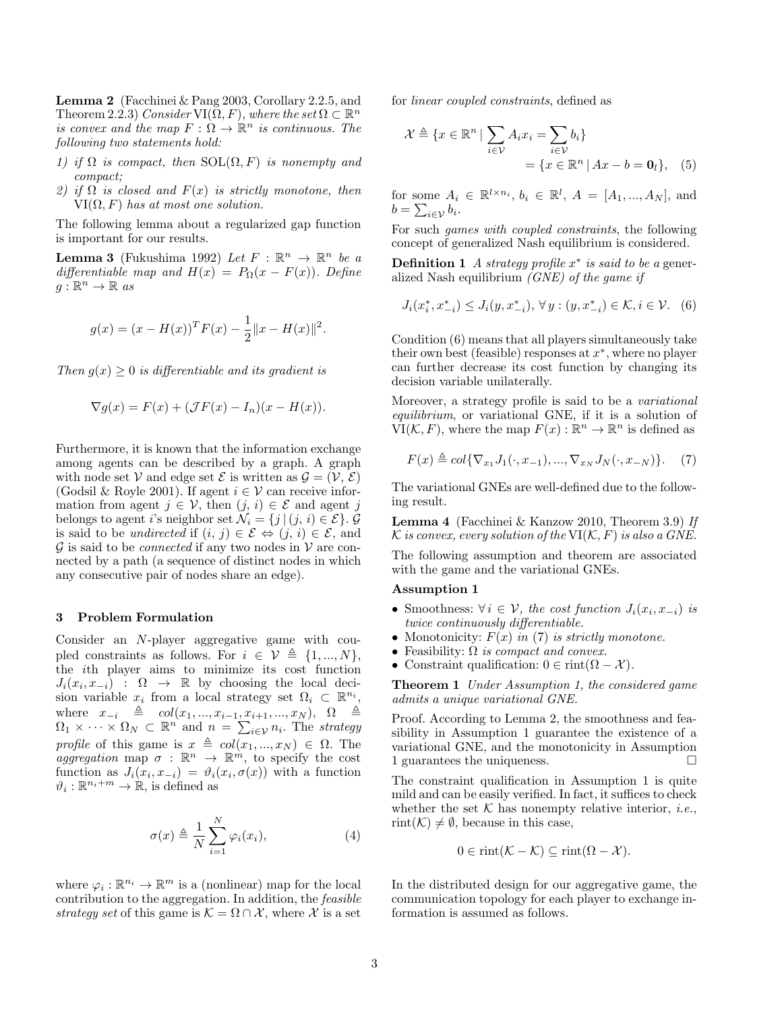Lemma 2 (Facchinei & Pang 2003, Corollary 2.2.5, and Theorem 2.2.3) Consider VI( $\widetilde{\Omega},F)$  , where the set  $\Omega\subset{\mathbb R}^n$ is convex and the map  $F : \Omega \to \mathbb{R}^n$  is continuous. The following two statements hold:

- 1) if  $\Omega$  is compact, then  $SOL(\Omega, F)$  is nonempty and compact;
- 2) if  $\Omega$  is closed and  $F(x)$  is strictly monotone, then  $VI(\Omega, F)$  has at most one solution.

The following lemma about a regularized gap function is important for our results.

**Lemma 3** (Fukushima 1992) Let  $F : \mathbb{R}^n \to \mathbb{R}^n$  be a differentiable map and  $H(x) = P_{\Omega}(x - F(x))$ . Define  $g: \mathbb{R}^n \to \mathbb{R}$  as

$$
g(x) = (x - H(x))^{T} F(x) - \frac{1}{2} ||x - H(x)||^{2}.
$$

Then  $q(x) > 0$  is differentiable and its gradient is

$$
\nabla g(x) = F(x) + (\mathcal{J}F(x) - I_n)(x - H(x)).
$$

Furthermore, it is known that the information exchange among agents can be described by a graph. A graph with node set V and edge set E is written as  $\mathcal{G} = (\mathcal{V}, \mathcal{E})$ (Godsil & Royle 2001). If agent  $i \in V$  can receive information from agent  $j \in \mathcal{V}$ , then  $(j, i) \in \mathcal{E}$  and agent j belongs to agent i's neighbor set  $\mathcal{N}_i = \{j \mid (j, i) \in \mathcal{E}\}\)mathcal{G}$ is said to be *undirected* if  $(i, j) \in \mathcal{E} \Leftrightarrow (j, i) \in \mathcal{E}$ , and  $G$  is said to be *connected* if any two nodes in  $V$  are connected by a path (a sequence of distinct nodes in which any consecutive pair of nodes share an edge).

#### 3 Problem Formulation

Consider an N-player aggregative game with coupled constraints as follows. For  $i \in \mathcal{V} \triangleq \{1, ..., N\},\$ the ith player aims to minimize its cost function  $J_i(x_i, x_{-i})$ :  $\Omega \rightarrow \mathbb{R}$  by choosing the local decision variable  $x_i$  from a local strategy set  $\Omega_i \subset \mathbb{R}^{n_i}$ , where  $x_{-i} \triangleq col(x_1, ..., x_{i-1}, x_{i+1}, ..., x_N), \ \Omega \triangleq$  $\Omega_1 \times \cdots \times \Omega_N \subset \mathbb{R}^n$  and  $n = \sum_{i \in \mathcal{V}} n_i$ . The strategy profile of this game is  $x \triangleq col(x_1, ..., x_N) \in \Omega$ . The *aggregation* map  $\sigma : \mathbb{R}^n \to \mathbb{R}^m$ , to specify the cost function as  $J_i(x_i, x_{-i}) = \vartheta_i(x_i, \sigma(x))$  with a function  $\vartheta_i : \mathbb{R}^{n_i+m} \to \mathbb{R}$ , is defined as

$$
\sigma(x) \triangleq \frac{1}{N} \sum_{i=1}^{N} \varphi_i(x_i), \tag{4}
$$

where  $\varphi_i : \mathbb{R}^{n_i} \to \mathbb{R}^m$  is a (nonlinear) map for the local contribution to the aggregation. In addition, the feasible strategy set of this game is  $\mathcal{K} = \Omega \cap \mathcal{X}$ , where X is a set for linear coupled constraints, defined as

$$
\mathcal{X} \triangleq \{x \in \mathbb{R}^n \mid \sum_{i \in \mathcal{V}} A_i x_i = \sum_{i \in \mathcal{V}} b_i\}
$$
  
=  $\{x \in \mathbb{R}^n \mid Ax - b = \mathbf{0}_l\},$  (5)

for some  $A_i \in \mathbb{R}^{l \times n_i}$ ,  $b_i \in \mathbb{R}^l$ ,  $A = [A_1, ..., A_N]$ , and  $b = \sum_{i \in \mathcal{V}} b_i.$ 

For such games with coupled constraints, the following concept of generalized Nash equilibrium is considered.

**Definition 1** A strategy profile  $x^*$  is said to be a generalized Nash equilibrium  $(GNE)$  of the game if

$$
J_i(x_i^*, x_{-i}^*) \le J_i(y, x_{-i}^*), \,\forall \, y : (y, x_{-i}^*) \in \mathcal{K}, i \in \mathcal{V}. \tag{6}
$$

Condition (6) means that all players simultaneously take their own best (feasible) responses at  $x^*$ , where no player can further decrease its cost function by changing its decision variable unilaterally.

Moreover, a strategy profile is said to be a variational equilibrium, or variational GNE, if it is a solution of  $\text{VI}(\mathcal{K}, F)$ , where the map  $F(x) : \mathbb{R}^n \to \mathbb{R}^n$  is defined as

$$
F(x) \triangleq col\{\nabla_{x_1} J_1(\cdot, x_{-1}), ..., \nabla_{x_N} J_N(\cdot, x_{-N})\}.
$$
 (7)

The variational GNEs are well-defined due to the following result.

Lemma 4 (Facchinei & Kanzow 2010, Theorem 3.9) If  $\mathcal K$  is convex, every solution of the  $\mathrm{VI}(\mathcal K,F)$  is also a GNE.

The following assumption and theorem are associated with the game and the variational GNEs.

# Assumption 1

- Smoothness:  $\forall i \in \mathcal{V}$ , the cost function  $J_i(x_i, x_{-i})$  is twice continuously differentiable.
- Monotonicity:  $F(x)$  in (7) is strictly monotone.
- Feasibility:  $\Omega$  is compact and convex.
- Constraint qualification:  $0 \in \text{rint}(\Omega \mathcal{X})$ .

**Theorem 1** Under Assumption 1, the considered game admits a unique variational GNE.

Proof. According to Lemma 2, the smoothness and feasibility in Assumption 1 guarantee the existence of a variational GNE, and the monotonicity in Assumption 1 guarantees the uniqueness.

The constraint qualification in Assumption 1 is quite mild and can be easily verified. In fact, it suffices to check whether the set  $K$  has nonempty relative interior, *i.e.*, rint( $\mathcal{K}$ )  $\neq$   $\emptyset$ , because in this case,

$$
0 \in \text{rint}(\mathcal{K} - \mathcal{K}) \subseteq \text{rint}(\Omega - \mathcal{X}).
$$

In the distributed design for our aggregative game, the communication topology for each player to exchange information is assumed as follows.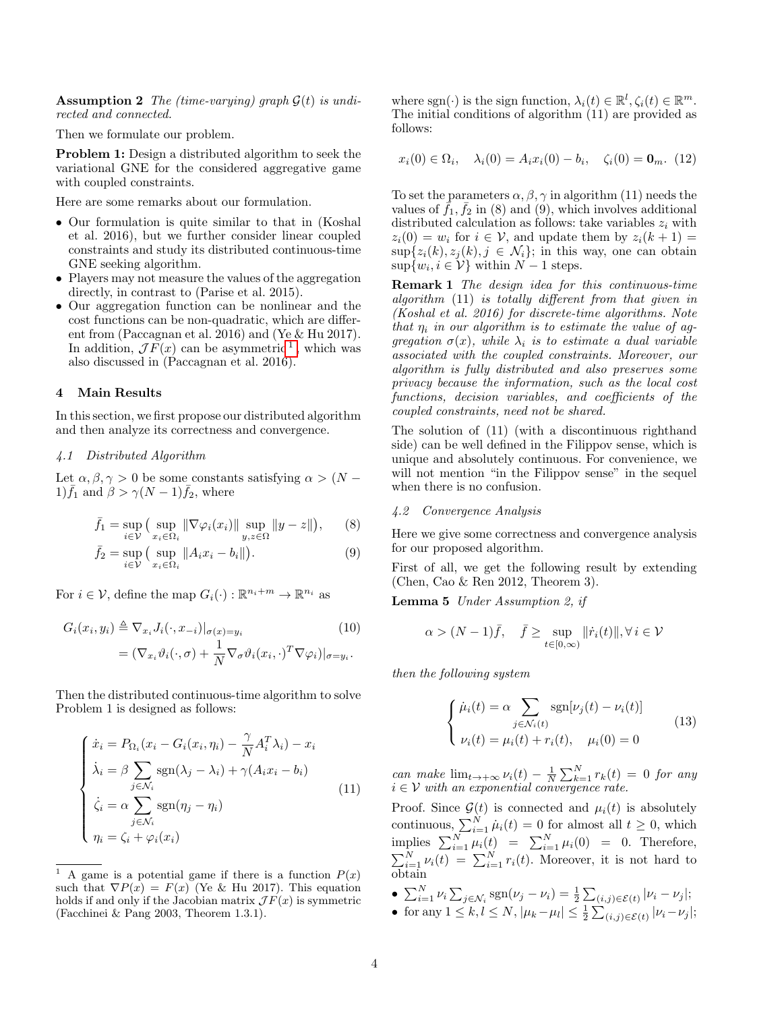**Assumption 2** The (time-varying) graph  $G(t)$  is undirected and connected.

Then we formulate our problem.

Problem 1: Design a distributed algorithm to seek the variational GNE for the considered aggregative game with coupled constraints.

Here are some remarks about our formulation.

- Our formulation is quite similar to that in (Koshal et al. 2016), but we further consider linear coupled constraints and study its distributed continuous-time GNE seeking algorithm.
- Players may not measure the values of the aggregation directly, in contrast to (Parise et al. 2015).
- Our aggregation function can be nonlinear and the cost functions can be non-quadratic, which are different from (Paccagnan et al. 2016) and (Ye & Hu 2017). In addition,  $\mathcal{J} F(x)$  can be asymmetric<sup>[1](#page-3-0)</sup>, which was also discussed in (Paccagnan et al. 2016).

# 4 Main Results

In this section, we first propose our distributed algorithm and then analyze its correctness and convergence.

### 4.1 Distributed Algorithm

Let  $\alpha, \beta, \gamma > 0$  be some constants satisfying  $\alpha > (N - \gamma)$ 1)  $\bar{f}_1$  and  $\beta > \gamma(N-1)\bar{f}_2$ , where

$$
\bar{f}_1 = \sup_{i \in \mathcal{V}} \big( \sup_{x_i \in \Omega_i} \|\nabla \varphi_i(x_i)\| \sup_{y, z \in \Omega} \|y - z\| \big), \qquad (8)
$$

$$
\bar{f}_2 = \sup_{i \in \mathcal{V}} \left( \sup_{x_i \in \Omega_i} \|A_i x_i - b_i\| \right). \tag{9}
$$

For  $i \in \mathcal{V}$ , define the map  $G_i(\cdot) : \mathbb{R}^{n_i+m} \to \mathbb{R}^{n_i}$  as

$$
G_i(x_i, y_i) \triangleq \nabla_{x_i} J_i(\cdot, x_{-i})|_{\sigma(x) = y_i}
$$
\n
$$
= (\nabla_{x_i} \vartheta_i(\cdot, \sigma) + \frac{1}{N} \nabla_{\sigma} \vartheta_i(x_i, \cdot)^T \nabla \varphi_i)|_{\sigma = y_i}.
$$
\n(10)

Then the distributed continuous-time algorithm to solve Problem 1 is designed as follows:

$$
\begin{cases}\n\dot{x}_i = P_{\Omega_i}(x_i - G_i(x_i, \eta_i) - \frac{\gamma}{N} A_i^T \lambda_i) - x_i \\
\dot{\lambda}_i = \beta \sum_{j \in \mathcal{N}_i} \text{sgn}(\lambda_j - \lambda_i) + \gamma (A_i x_i - b_i) \\
\dot{\zeta}_i = \alpha \sum_{j \in \mathcal{N}_i} \text{sgn}(\eta_j - \eta_i) \\
\eta_i = \zeta_i + \varphi_i(x_i)\n\end{cases}
$$
\n(11)

where sgn( $\cdot$ ) is the sign function,  $\lambda_i(t) \in \mathbb{R}^l$ ,  $\zeta_i(t) \in \mathbb{R}^m$ . The initial conditions of algorithm (11) are provided as follows:

$$
x_i(0) \in \Omega_i, \quad \lambda_i(0) = A_i x_i(0) - b_i, \quad \zeta_i(0) = \mathbf{0}_m. \tag{12}
$$

To set the parameters  $\alpha, \beta, \gamma$  in algorithm (11) needs the values of  $\bar{f}_1$ ,  $\bar{f}_2$  in (8) and (9), which involves additional distributed calculation as follows: take variables  $z_i$  with  $z_i(0) = w_i$  for  $i \in \mathcal{V}$ , and update them by  $z_i(k+1) =$  $\sup\{z_i(k), z_j(k), j \in \mathcal{N}_i\};$  in this way, one can obtain  $\sup\{w_i, i \in \mathcal{V}\}\$  within  $N-1$  steps.

Remark 1 The design idea for this continuous-time algorithm (11) is totally different from that given in (Koshal et al. 2016) for discrete-time algorithms. Note that  $\eta_i$  in our algorithm is to estimate the value of aggregation  $\sigma(x)$ , while  $\lambda_i$  is to estimate a dual variable associated with the coupled constraints. Moreover, our algorithm is fully distributed and also preserves some privacy because the information, such as the local cost functions, decision variables, and coefficients of the coupled constraints, need not be shared.

The solution of (11) (with a discontinuous righthand side) can be well defined in the Filippov sense, which is unique and absolutely continuous. For convenience, we will not mention "in the Filippov sense" in the sequel when there is no confusion.

#### 4.2 Convergence Analysis

Here we give some correctness and convergence analysis for our proposed algorithm.

First of all, we get the following result by extending (Chen, Cao & Ren 2012, Theorem 3).

Lemma 5 Under Assumption 2, if

$$
\alpha > (N-1)\bar{f}, \quad \bar{f} \ge \sup_{t \in [0,\infty)} ||\dot{r}_i(t)||, \forall i \in \mathcal{V}
$$

then the following system

$$
\begin{cases}\n\dot{\mu}_i(t) = \alpha \sum_{j \in \mathcal{N}_i(t)} \text{sgn}[\nu_j(t) - \nu_i(t)] \\
\nu_i(t) = \mu_i(t) + r_i(t), \quad \mu_i(0) = 0\n\end{cases}
$$
\n(13)

can make  $\lim_{t\to+\infty}\nu_i(t) - \frac{1}{N}\sum_{k=1}^N r_k(t) = 0$  for any  $i \in \mathcal{V}$  with an exponential convergence rate.

Proof. Since  $\mathcal{G}(t)$  is connected and  $\mu_i(t)$  is absolutely continuous,  $\sum_{i=1}^{N} \mu_i(t) = 0$  for almost all  $t \geq 0$ , which implies  $\sum_{i=1}^{N} \mu_i(t) = \sum_{i=1}^{N} \mu_i(0) = 0$ . Therefore,  $\sum_{i=1}^{N} \nu_i(t) = \sum_{i=1}^{N} r_i(t)$ . Moreover, it is not hard to obtain

- $\sum_{i=1}^{N} \nu_i \sum_{j \in \mathcal{N}_i} \text{sgn}(\nu_j \nu_i) = \frac{1}{2} \sum_{(i,j) \in \mathcal{E}(t)} |\nu_i \nu_j|;$
- for any  $1 \leq k, l \leq N, |\mu_k \mu_l| \leq \frac{1}{2} \sum_{(i,j) \in \mathcal{E}(t)} |\nu_i \nu_j|;$

<span id="page-3-0"></span><sup>&</sup>lt;sup>1</sup> A game is a potential game if there is a function  $P(x)$ such that  $\nabla P(x) = F(x)$  (Ye & Hu 2017). This equation holds if and only if the Jacobian matrix  $\mathcal{J}F(x)$  is symmetric (Facchinei & Pang 2003, Theorem 1.3.1).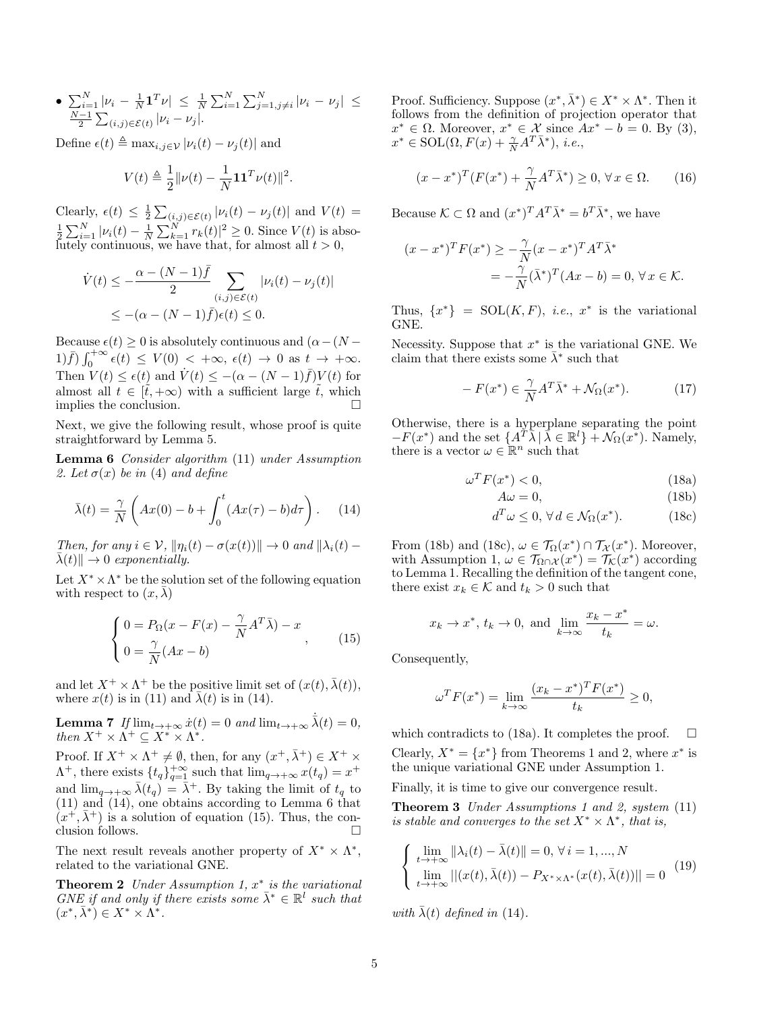• 
$$
\sum_{i=1}^{N} |\nu_i - \frac{1}{N} \mathbf{1}^T \nu| \leq \frac{1}{N} \sum_{i=1}^{N} \sum_{j=1, j \neq i}^{N} |\nu_i - \nu_j| \leq \frac{N-1}{2} \sum_{(i,j) \in \mathcal{E}(t)} |\nu_i - \nu_j|.
$$

Define  $\epsilon(t) \triangleq \max_{i,j\in\mathcal{V}} |\nu_i(t) - \nu_j(t)|$  and

$$
V(t) \triangleq \frac{1}{2} ||\nu(t) - \frac{1}{N} \mathbf{1} \mathbf{1}^T \nu(t) ||^2.
$$

Clearly,  $\epsilon(t) \leq \frac{1}{2} \sum_{(i,j) \in \mathcal{E}(t)} |\nu_i(t) - \nu_j(t)|$  and  $V(t) =$  $\frac{1}{2} \sum_{i=1}^{N} |\nu_i(t) - \frac{1}{N} \sum_{k=1}^{N} r_k(t)|^2 \geq 0$ . Since  $V(t)$  is absolutely continuous, we have that, for almost all  $t > 0$ ,

$$
\dot{V}(t) \leq -\frac{\alpha - (N-1)\bar{f}}{2} \sum_{(i,j) \in \mathcal{E}(t)} |\nu_i(t) - \nu_j(t)|
$$
\n
$$
\leq -(\alpha - (N-1)\bar{f})\epsilon(t) \leq 0.
$$

Because  $\epsilon(t) \geq 0$  is absolutely continuous and  $(\alpha - (N (1) \bar{f}) \int_0^{+\infty} \epsilon(t) \le V(0) < +\infty, \ \epsilon(t) \to 0 \text{ as } t \to +\infty.$ Then  $V(t) \leq \epsilon(t)$  and  $\dot{V}(t) \leq -(\alpha - (N-1)\bar{f})V(t)$  for almost all  $t \in [t, +\infty)$  with a sufficient large  $\tilde{t}$ , which implies the conclusion.

Next, we give the following result, whose proof is quite straightforward by Lemma 5.

Lemma 6 Consider algorithm (11) under Assumption 2. Let  $\sigma(x)$  be in (4) and define

$$
\bar{\lambda}(t) = \frac{\gamma}{N} \left( Ax(0) - b + \int_0^t (Ax(\tau) - b)d\tau \right). \tag{14}
$$

Then, for any  $i \in \mathcal{V}$ ,  $\|\eta_i(t) - \sigma(x(t))\| \to 0$  and  $\|\lambda_i(t) \lambda(t)$   $\rightarrow$  0 exponentially.

Let  $X^* \times \Lambda^*$  be the solution set of the following equation with respect to  $(x, \lambda)$ 

$$
\begin{cases}\n0 = P_{\Omega}(x - F(x) - \frac{\gamma}{N} A^T \bar{\lambda}) - x \\
0 = \frac{\gamma}{N} (Ax - b)\n\end{cases}
$$
\n(15)

and let  $X^+ \times \Lambda^+$  be the positive limit set of  $(x(t), \bar{\lambda}(t)),$ where  $x(t)$  is in (11) and  $\bar{\lambda}(t)$  is in (14).

**Lemma 7** If  $\lim_{t \to +\infty} \dot{x}(t) = 0$  and  $\lim_{t \to +\infty} \dot{\bar{\lambda}}(t) = 0$ , then  $X^+ \times \Lambda^+ \subseteq X^* \times \Lambda^*.$ 

Proof. If  $X^+ \times \Lambda^+ \neq \emptyset$ , then, for any  $(x^+,\bar{\lambda}^+) \in X^+ \times$  $\Lambda^+$ , there exists  $\{t_q\}_{q=1}^{+\infty}$  such that  $\lim_{q\to+\infty} x(t_q) = x^+$ and  $\lim_{q\to+\infty}\bar{\lambda}(t_q) = \bar{\lambda}^+$ . By taking the limit of  $t_q$  to (11) and (14), one obtains according to Lemma 6 that  $(x^+, \bar{\lambda}^+)$  is a solution of equation (15). Thus, the conclusion follows.  $\Box$ 

The next result reveals another property of  $X^* \times \Lambda^*$ , related to the variational GNE.

**Theorem 2** Under Assumption 1,  $x^*$  is the variational GNE if and only if there exists some  $\bar{\lambda}^* \in \mathbb{R}^l$  such that  $(x^*,\bar{\lambda}^*)\in X^*\times \Lambda^*.$ 

Proof. Sufficiency. Suppose  $(x^*, \bar{\lambda}^*) \in X^* \times \Lambda^*$ . Then it follows from the definition of projection operator that  $x^* \in \Omega$ . Moreover,  $x^* \in \mathcal{X}$  since  $Ax^* - b = 0$ . By (3),  $x^* \in \text{SOL}(\Omega, F(x) + \frac{\gamma}{N} A^T \bar{\lambda}^*)$ , *i.e.*,

$$
(x - x^*)^T (F(x^*) + \frac{\gamma}{N} A^T \bar{\lambda}^*) \ge 0, \forall x \in \Omega.
$$
 (16)

Because  $\mathcal{K} \subset \Omega$  and  $(x^*)^T A^T \bar{\lambda}^* = b^T \bar{\lambda}^*$ , we have

$$
(x - x^*)^T F(x^*) \ge -\frac{\gamma}{N} (x - x^*)^T A^T \bar{\lambda}^*
$$
  
=  $-\frac{\gamma}{N} (\bar{\lambda}^*)^T (Ax - b) = 0, \forall x \in \mathcal{K}.$ 

Thus,  $\{x^*\} = SOL(K, F)$ , *i.e.*,  $x^*$  is the variational GNE.

Necessity. Suppose that  $x^*$  is the variational GNE. We claim that there exists some  $\bar{\lambda}^*$  such that

$$
-F(x^*) \in \frac{\gamma}{N} A^T \bar{\lambda}^* + \mathcal{N}_{\Omega}(x^*). \tag{17}
$$

Otherwise, there is a hyperplane separating the point  $-F(x^*)$  and the set  $\{A^{T}\overline{\lambda} | \overline{\lambda} \in \mathbb{R}^l\} + \mathcal{N}_{\Omega}(x^*)$ . Namely, there is a vector  $\omega \in \mathbb{R}^n$  such that

$$
\omega^T F(x^*) < 0,\tag{18a}
$$

$$
A\omega = 0,\t(18b)
$$

$$
d^T \omega \le 0, \,\forall \, d \in \mathcal{N}_{\Omega}(x^*). \tag{18c}
$$

From (18b) and (18c),  $\omega \in \mathcal{T}_{\Omega}(x^*) \cap \mathcal{T}_{\mathcal{X}}(x^*)$ . Moreover, with Assumption 1,  $\omega \in \mathcal{T}_{\Omega \cap \mathcal{X}}(x^*) = \mathcal{T}_{\mathcal{K}}(x^*)$  according to Lemma 1. Recalling the definition of the tangent cone, there exist  $x_k \in \mathcal{K}$  and  $t_k > 0$  such that

$$
x_k \to x^*
$$
,  $t_k \to 0$ , and  $\lim_{k \to \infty} \frac{x_k - x^*}{t_k} = \omega$ .

Consequently,

$$
\omega^T F(x^*) = \lim_{k \to \infty} \frac{(x_k - x^*)^T F(x^*)}{t_k} \ge 0,
$$

which contradicts to (18a). It completes the proof.  $\square$ Clearly,  $X^* = \{x^*\}$  from Theorems 1 and 2, where  $x^*$  is the unique variational GNE under Assumption 1.

Finally, it is time to give our convergence result.

Theorem 3 Under Assumptions 1 and 2, system (11) is stable and converges to the set  $X^* \times \Lambda^*$ , that is,

$$
\begin{cases}\n\lim_{t \to +\infty} \|\lambda_i(t) - \bar{\lambda}(t)\| = 0, \forall i = 1, ..., N \\
\lim_{t \to +\infty} \|(x(t), \bar{\lambda}(t)) - P_{X^* \times \Lambda^*}(x(t), \bar{\lambda}(t))\| = 0\n\end{cases}
$$
(19)

with  $\bar{\lambda}(t)$  defined in (14).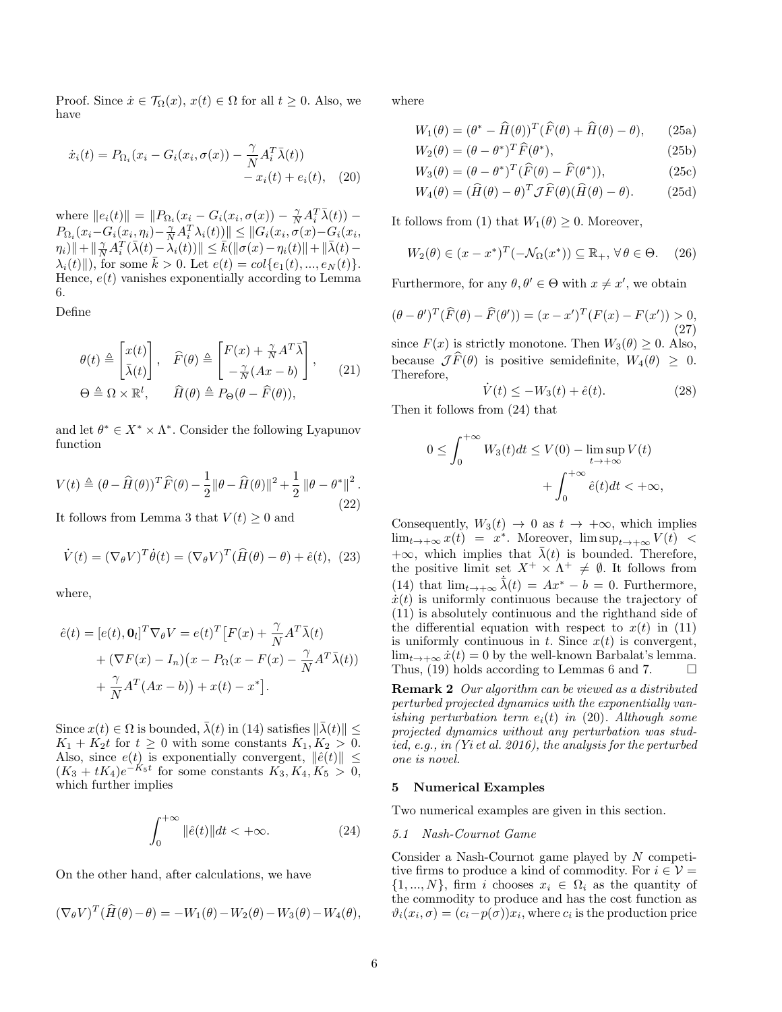Proof. Since  $\dot{x} \in \mathcal{T}_{\Omega}(x)$ ,  $x(t) \in \Omega$  for all  $t \geq 0$ . Also, we have

$$
\dot{x}_i(t) = P_{\Omega_i}(x_i - G_i(x_i, \sigma(x)) - \frac{\gamma}{N} A_i^T \bar{\lambda}(t)) - x_i(t) + e_i(t), \quad (20)
$$

where  $||e_i(t)|| = ||P_{\Omega_i}(x_i - G_i(x_i, \sigma(x)) - \frac{\gamma}{N} A_i^T \bar{\lambda}(t)) P_{\Omega_i}(x_i - G_i(x_i, \eta_i) - \frac{\gamma}{N} A_i^T \lambda_i(t)) \leq ||G_i(x_i, \sigma(x) - G_i(x_i, \eta_i)||)$  $\|\eta_i)\|+\|\frac{\gamma}{N}A_i^T(\bar{\lambda}(t)-\lambda_i(t))\|\leq \bar{k}(\|\sigma(x)-\eta_i(t)\|+\|\bar{\lambda}(t)-\tau(t)\|)$  $\lambda_i(t)$ , for some  $\bar{k} > 0$ . Let  $e(t) = col\{e_1(t), ..., e_N(t)\}.$ Hence,  $e(t)$  vanishes exponentially according to Lemma 6.

Define

$$
\begin{aligned}\n\theta(t) &\triangleq \begin{bmatrix} x(t) \\ \bar{\lambda}(t) \end{bmatrix}, \quad \hat{F}(\theta) \triangleq \begin{bmatrix} F(x) + \frac{\gamma}{N} A^T \bar{\lambda} \\ -\frac{\gamma}{N} (Ax - b) \end{bmatrix}, \\
\Theta \triangleq \Omega \times \mathbb{R}^l, \qquad \hat{H}(\theta) \triangleq P_{\Theta}(\theta - \hat{F}(\theta)),\n\end{aligned} \tag{21}
$$

and let  $\theta^* \in X^* \times \Lambda^*$ . Consider the following Lyapunov function

$$
V(t) \triangleq (\theta - \widehat{H}(\theta))^T \widehat{F}(\theta) - \frac{1}{2} ||\theta - \widehat{H}(\theta)||^2 + \frac{1}{2} ||\theta - \theta^*||^2.
$$
\n(22)

It follows from Lemma 3 that  $V(t) \geq 0$  and

$$
\dot{V}(t) = (\nabla_{\theta} V)^{T} \dot{\theta}(t) = (\nabla_{\theta} V)^{T} (\hat{H}(\theta) - \theta) + \hat{e}(t), \tag{23}
$$

where,

$$
\hat{e}(t) = [e(t), \mathbf{0}_l]^T \nabla_{\theta} V = e(t)^T [F(x) + \frac{\gamma}{N} A^T \bar{\lambda}(t) \n+ (\nabla F(x) - I_n)(x - P_{\Omega}(x - F(x) - \frac{\gamma}{N} A^T \bar{\lambda}(t)) \n+ \frac{\gamma}{N} A^T (Ax - b) + x(t) - x^*].
$$

Since  $x(t) \in \Omega$  is bounded,  $\overline{\lambda}(t)$  in (14) satisfies  $\|\overline{\lambda}(t)\| \le$  $K_1 + K_2t$  for  $t \geq 0$  with some constants  $K_1, K_2 > 0$ . Also, since  $e(t)$  is exponentially convergent,  $\|\hat{e}(t)\| \leq$  $(K_3 + tK_4)e^{-K_5t}$  for some constants  $K_3, K_4, K_5 > 0$ , which further implies

$$
\int_0^{+\infty} \|\hat{e}(t)\|dt < +\infty.
$$
 (24)

On the other hand, after calculations, we have

$$
(\nabla_{\theta} V)^{T}(\widehat{H}(\theta) - \theta) = -W_1(\theta) - W_2(\theta) - W_3(\theta) - W_4(\theta),
$$

where

$$
W_1(\theta) = (\theta^* - \widehat{H}(\theta))^T (\widehat{F}(\theta) + \widehat{H}(\theta) - \theta), \qquad (25a)
$$

$$
W_2(\theta) = (\theta - \theta^*)^T \widehat{F}(\theta^*), \tag{25b}
$$

$$
W_3(\theta) = (\theta - \theta^*)^T (\widehat{F}(\theta) - \widehat{F}(\theta^*)), \tag{25c}
$$

$$
W_4(\theta) = (\widehat{H}(\theta) - \theta)^T \mathcal{J}\widehat{F}(\theta)(\widehat{H}(\theta) - \theta).
$$
 (25d)

It follows from (1) that  $W_1(\theta) \geq 0$ . Moreover,

$$
W_2(\theta) \in (x - x^*)^T(-\mathcal{N}_{\Omega}(x^*)) \subseteq \mathbb{R}_+, \,\forall \,\theta \in \Theta. \tag{26}
$$

Furthermore, for any  $\theta, \theta' \in \Theta$  with  $x \neq x'$ , we obtain

$$
(\theta - \theta')^T (\widehat{F}(\theta) - \widehat{F}(\theta')) = (x - x')^T (F(x) - F(x')) > 0,
$$
\n(27)

since  $F(x)$  is strictly monotone. Then  $W_3(\theta) \geq 0$ . Also, because  $\mathcal{J}\widehat{F}(\theta)$  is positive semidefinite,  $W_4(\theta) > 0$ . Therefore,

$$
\dot{V}(t) \le -W_3(t) + \hat{e}(t). \tag{28}
$$

Then it follows from (24) that

$$
0 \le \int_0^{+\infty} W_3(t)dt \le V(0) - \limsup_{t \to +\infty} V(t) + \int_0^{+\infty} \hat{e}(t)dt < +\infty,
$$

Consequently,  $W_3(t) \rightarrow 0$  as  $t \rightarrow +\infty$ , which implies  $\lim_{t\to+\infty} x(t) = x^*$ . Moreover,  $\limsup_{t\to+\infty} V(t)$  <  $+\infty$ , which implies that  $\bar{\lambda}(t)$  is bounded. Therefore, the positive limit set  $X^+ \times \Lambda^+ \neq \emptyset$ . It follows from (14) that  $\lim_{t\to+\infty} \dot{\lambda}(t) = Ax^* - b = 0$ . Furthermore,  $\dot{x}(t)$  is uniformly continuous because the trajectory of (11) is absolutely continuous and the righthand side of the differential equation with respect to  $x(t)$  in (11) is uniformly continuous in t. Since  $x(t)$  is convergent,  $\lim_{t\to+\infty} \dot{x}(t) = 0$  by the well-known Barbalat's lemma. Thus, (19) holds according to Lemmas 6 and 7.  $\Box$ 

Remark 2 Our algorithm can be viewed as a distributed perturbed projected dynamics with the exponentially vanishing perturbation term  $e_i(t)$  in (20). Although some projected dynamics without any perturbation was studied, e.g., in (Yi et al. 2016), the analysis for the perturbed one is novel.

#### 5 Numerical Examples

Two numerical examples are given in this section.

#### 5.1 Nash-Cournot Game

Consider a Nash-Cournot game played by N competitive firms to produce a kind of commodity. For  $i \in \mathcal{V} =$  $\{1, ..., N\}$ , firm i chooses  $x_i \in \Omega_i$  as the quantity of the commodity to produce and has the cost function as  $\vartheta_i(x_i, \sigma) = (c_i - p(\sigma))x_i$ , where  $c_i$  is the production price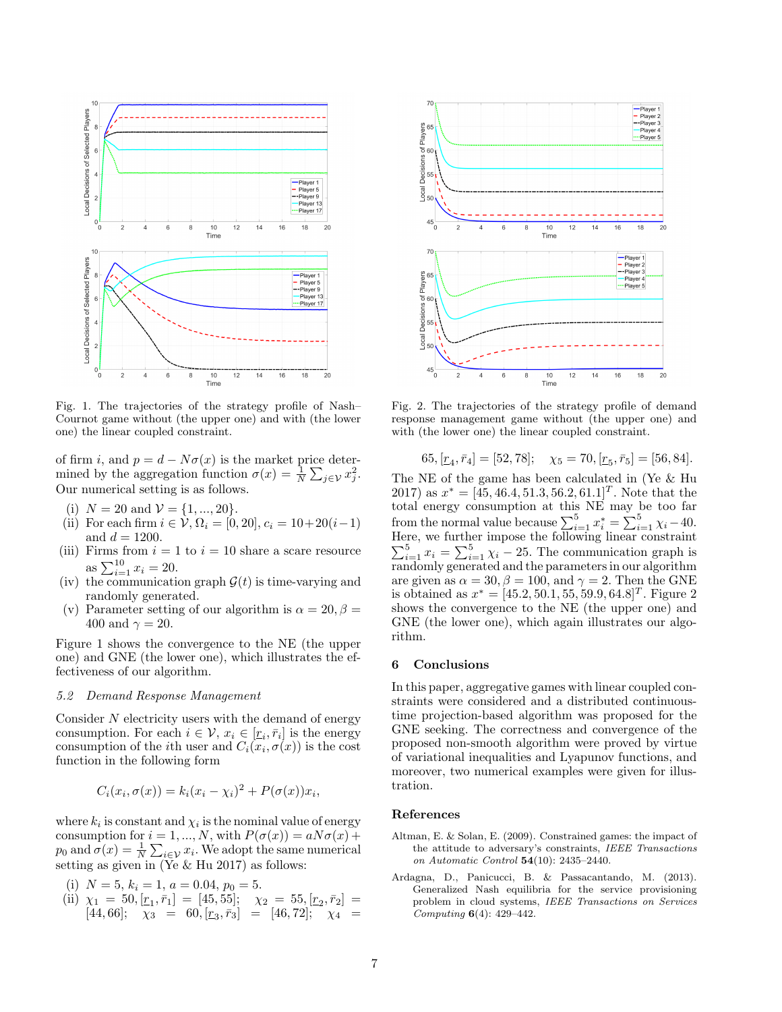

Fig. 1. The trajectories of the strategy profile of Nash– Cournot game without (the upper one) and with (the lower one) the linear coupled constraint.

of firm i, and  $p = d - N\sigma(x)$  is the market price determined by the aggregation function  $\sigma(x) = \frac{1}{N} \sum_{j \in \mathcal{V}} x_j^2$ . Our numerical setting is as follows.

- (i)  $N = 20$  and  $\mathcal{V} = \{1, ..., 20\}.$
- (ii) For each firm  $i \in \mathcal{V}, \Omega_i = [0, 20], c_i = 10+20(i-1)$ and  $d = 1200$ .
- (iii) Firms from  $i = 1$  to  $i = 10$  share a scare resource as  $\sum_{i=1}^{10} x_i = 20$ .
- (iv) the communication graph  $\mathcal{G}(t)$  is time-varying and randomly generated.
- (v) Parameter setting of our algorithm is  $\alpha = 20, \beta =$ 400 and  $\gamma = 20$ .

Figure 1 shows the convergence to the NE (the upper one) and GNE (the lower one), which illustrates the effectiveness of our algorithm.

# 5.2 Demand Response Management

Consider N electricity users with the demand of energy consumption. For each  $i \in \mathcal{V}$ ,  $x_i \in [r_i, \bar{r}_i]$  is the energy consumption of the *i*th user and  $C_i(x_i, \sigma(x))$  is the cost function in the following form

$$
C_i(x_i, \sigma(x)) = k_i(x_i - \chi_i)^2 + P(\sigma(x))x_i,
$$

where  $k_i$  is constant and  $\chi_i$  is the nominal value of energy consumption for  $i = 1, ..., N$ , with  $P(\sigma(x)) = aN\sigma(x) +$  $p_0$  and  $\sigma(x) = \frac{1}{N} \sum_{i \in \mathcal{V}} x_i$ . We adopt the same numerical setting as given in  $(Ye \& Hu 2017)$  as follows:

- (i)  $N = 5, k_i = 1, a = 0.04, p_0 = 5.$
- (ii)  $\chi_1 = 50, [\underline{r}_1, \overline{r}_1] = [45, 55]; \quad \chi_2 = 55, [\underline{r}_2, \overline{r}_2] =$  $[44, 66];$   $\chi_3 = 60, [\underline{r}_3, \overline{r}_3] = [46, 72];$   $\chi_4 =$



Fig. 2. The trajectories of the strategy profile of demand response management game without (the upper one) and with (the lower one) the linear coupled constraint.

$$
65, [\underline{r}_4, \overline{r}_4] = [52, 78]; \quad \chi_5 = 70, [\underline{r}_5, \overline{r}_5] = [56, 84].
$$

The NE of the game has been calculated in (Ye & Hu 2017) as  $x^* = [45, 46.4, 51.3, 56.2, 61.1]^T$ . Note that the total energy consumption at this NE may be too far from the normal value because  $\sum_{i=1}^{5} x_i^* = \sum_{i=1}^{5} \chi_i - 40$ . Here, we further impose the following linear constraint  $\sum_{i=1}^{5} x_i = \sum_{i=1}^{5} \chi_i - 25$ . The communication graph is randomly generated and the parameters in our algorithm are given as  $\alpha = 30, \beta = 100$ , and  $\gamma = 2$ . Then the GNE is obtained as  $x^* = [45.2, 50.1, 55, 59.9, 64.8]^T$ . Figure 2 shows the convergence to the NE (the upper one) and GNE (the lower one), which again illustrates our algorithm.

#### 6 Conclusions

In this paper, aggregative games with linear coupled constraints were considered and a distributed continuoustime projection-based algorithm was proposed for the GNE seeking. The correctness and convergence of the proposed non-smooth algorithm were proved by virtue of variational inequalities and Lyapunov functions, and moreover, two numerical examples were given for illustration.

#### References

- Altman, E. & Solan, E. (2009). Constrained games: the impact of the attitude to adversary's constraints, IEEE Transactions on Automatic Control 54(10): 2435–2440.
- Ardagna, D., Panicucci, B. & Passacantando, M. (2013). Generalized Nash equilibria for the service provisioning problem in cloud systems, IEEE Transactions on Services Computing 6(4): 429–442.